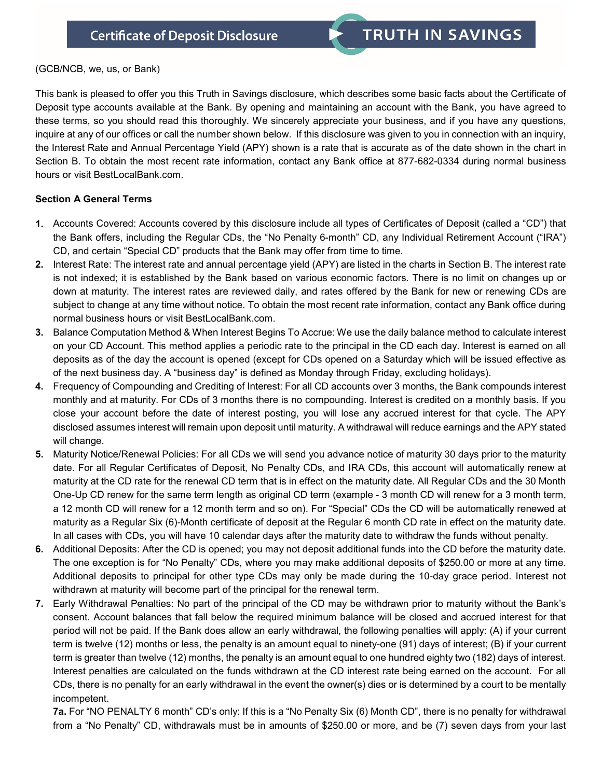## (GCB/NCB, we, us, or Bank)

This bank is pleased to offer you this Truth in Savings disclosure, which describes some basic facts about the Certificate of Deposit type accounts available at the Bank. By opening and maintaining an account with the Bank, you have agreed to these terms, so you should read this thoroughly. We sincerely appreciate your business, and if you have any questions, inquire at any of our offices or call the number shown below. If this disclosure was given to you in connection with an inquiry, the Interest Rate and Annual Percentage Yield (APY) shown is a rate that is accurate as of the date shown in the chart in Section B. To obtain the most recent rate information, contact any Bank office at 877-682-0334 during normal business hours or visit BestLocalBank.com.

## **Section A General Terms**

- **1.** Accounts Covered: Accounts covered by this disclosure include all types of Certificates of Deposit (called a "CD") that the Bank offers, including the Regular CDs, the "No Penalty 6-month" CD, any Individual Retirement Account ("IRA") CD, and certain "Special CD" products that the Bank may offer from time to time.
- **2.** Interest Rate: The interest rate and annual percentage yield (APY) are listed in the charts in Section B. The interest rate is not indexed; it is established by the Bank based on various economic factors. There is no limit on changes up or down at maturity. The interest rates are reviewed daily, and rates offered by the Bank for new or renewing CDs are subject to change at any time without notice. To obtain the most recent rate information, contact any Bank office during normal business hours or visit BestLocalBank.com.
- **3.** Balance Computation Method & When Interest Begins To Accrue: We use the daily balance method to calculate interest on your CD Account. This method applies a periodic rate to the principal in the CD each day. Interest is earned on all deposits as of the day the account is opened (except for CDs opened on a Saturday which will be issued effective as of the next business day. A "business day" is defined as Monday through Friday, excluding holidays).
- **4.** Frequency of Compounding and Crediting of Interest: For all CD accounts over 3 months, the Bank compounds interest monthly and at maturity. For CDs of 3 months there is no compounding. Interest is credited on a monthly basis. If you close your account before the date of interest posting, you will lose any accrued interest for that cycle. The APY disclosed assumes interest will remain upon deposit until maturity. A withdrawal will reduce earnings and the APY stated will change.
- **5.** Maturity Notice/Renewal Policies: For all CDs we will send you advance notice of maturity 30 days prior to the maturity date. For all Regular Certificates of Deposit, No Penalty CDs, and IRA CDs, this account will automatically renew at maturity at the CD rate for the renewal CD term that is in effect on the maturity date. All Regular CDs and the 30 Month One-Up CD renew for the same term length as original CD term (example - 3 month CD will renew for a 3 month term, a 12 month CD will renew for a 12 month term and so on). For "Special" CDs the CD will be automatically renewed at maturity as a Regular Six (6)-Month certificate of deposit at the Regular 6 month CD rate in effect on the maturity date. In all cases with CDs, you will have 10 calendar days after the maturity date to withdraw the funds without penalty.
- **6.** Additional Deposits: After the CD is opened; you may not deposit additional funds into the CD before the maturity date. The one exception is for "No Penalty" CDs, where you may make additional deposits of \$250.00 or more at any time. Additional deposits to principal for other type CDs may only be made during the 10-day grace period. Interest not withdrawn at maturity will become part of the principal for the renewal term.
- **7.** Early Withdrawal Penalties: No part of the principal of the CD may be withdrawn prior to maturity without the Bank's consent. Account balances that fall below the required minimum balance will be closed and accrued interest for that period will not be paid. If the Bank does allow an early withdrawal, the following penalties will apply: (A) if your current term is twelve (12) months or less, the penalty is an amount equal to ninety-one (91) days of interest; (B) if your current term is greater than twelve (12) months, the penalty is an amount equal to one hundred eighty two (182) days of interest. Interest penalties are calculated on the funds withdrawn at the CD interest rate being earned on the account. For all CDs, there is no penalty for an early withdrawal in the event the owner(s) dies or is determined by a court to be mentally incompetent.

**7a.** For "NO PENALTY 6 month" CD's only: If this is a "No Penalty Six (6) Month CD", there is no penalty for withdrawal from a "No Penalty" CD, withdrawals must be in amounts of \$250.00 or more, and be (7) seven days from your last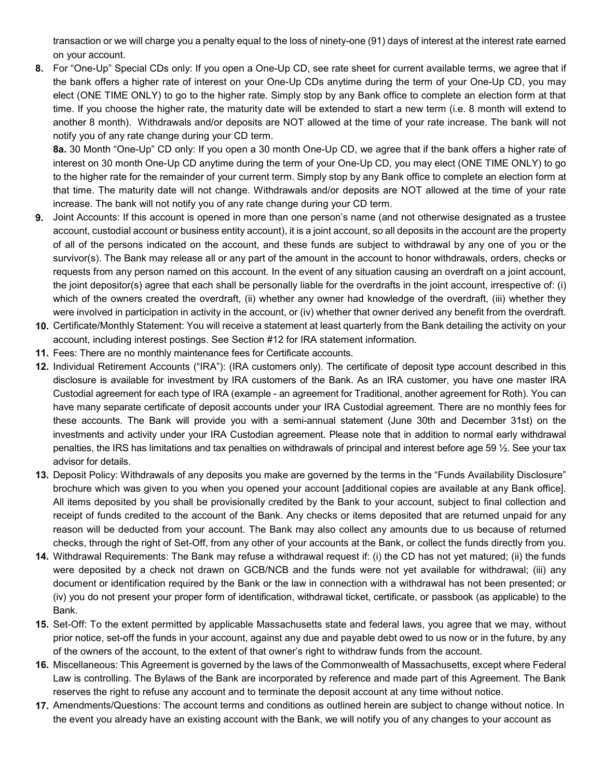transaction or we will charge you a penalty equal to the loss of ninety-one (91) days of interest at the interest rate earned on your account.

**8.** For "One-Up" Special CDs only: If you open a One-Up CD, see rate sheet for current available terms, we agree that if the bank offers a higher rate of interest on your One-Up CDs anytime during the term of your One-Up CD, you may elect (ONE TIME ONLY) to go to the higher rate. Simply stop by any Bank office to complete an election form at that time. If you choose the higher rate, the maturity date will be extended to start a new term (i.e. 8 month will extend to another 8 month). Withdrawals and/or deposits are NOT allowed at the time of your rate increase. The bank will not notify you of any rate change during your CD term.

**8a.** 30 Month "One-Up" CD only: If you open a 30 month One-Up CD, we agree that if the bank offers a higher rate of interest on 30 month One-Up CD anytime during the term of your One-Up CD, you may elect (ONE TIME ONLY) to go to the higher rate for the remainder of your current term. Simply stop by any Bank office to complete an election form at that time. The maturity date will not change. Withdrawals and/or deposits are NOT allowed at the time of your rate increase. The bank will not notify you of any rate change during your CD term.

- **9.** Joint Accounts: If this account is opened in more than one person's name (and not otherwise designated as a trustee account, custodial account or business entity account), it is a joint account, so all deposits in the account are the property of all of the persons indicated on the account, and these funds are subject to withdrawal by any one of you or the survivor(s). The Bank may release all or any part of the amount in the account to honor withdrawals, orders, checks or requests from any person named on this account. In the event of any situation causing an overdraft on a joint account, the joint depositor(s) agree that each shall be personally liable for the overdrafts in the joint account, irrespective of: (i) which of the owners created the overdraft, (ii) whether any owner had knowledge of the overdraft, (iii) whether they were involved in participation in activity in the account, or (iv) whether that owner derived any benefit from the overdraft.
- **10.** Certificate/Monthly Statement: You will receive a statement at least quarterly from the Bank detailing the activity on your account, including interest postings. See Section #12 for IRA statement information.
- **11.** Fees: There are no monthly maintenance fees for Certificate accounts.
- **12.** Individual Retirement Accounts ("IRA"): (IRA customers only). The certificate of deposit type account described in this disclosure is available for investment by IRA customers of the Bank. As an IRA customer, you have one master IRA Custodial agreement for each type of IRA (example - an agreement for Traditional, another agreement for Roth). You can have many separate certificate of deposit accounts under your IRA Custodial agreement. There are no monthly fees for these accounts. The Bank will provide you with a semi-annual statement (June 30th and December 31st) on the investments and activity under your IRA Custodian agreement. Please note that in addition to normal early withdrawal penalties, the IRS has limitations and tax penalties on withdrawals of principal and interest before age 59 ½. See your tax advisor for details.
- **13.** Deposit Policy: Withdrawals of any deposits you make are governed by the terms in the "Funds Availability Disclosure" brochure which was given to you when you opened your account [additional copies are available at any Bank office]. All items deposited by you shall be provisionally credited by the Bank to your account, subject to final collection and receipt of funds credited to the account of the Bank. Any checks or items deposited that are returned unpaid for any reason will be deducted from your account. The Bank may also collect any amounts due to us because of returned checks, through the right of Set-Off, from any other of your accounts at the Bank, or collect the funds directly from you.
- **14.** Withdrawal Requirements: The Bank may refuse a withdrawal request if: (i) the CD has not yet matured; (ii) the funds were deposited by a check not drawn on GCB/NCB and the funds were not yet available for withdrawal; (iii) any document or identification required by the Bank or the law in connection with a withdrawal has not been presented; or (iv) you do not present your proper form of identification, withdrawal ticket, certificate, or passbook (as applicable) to the Bank.
- **15.** Set-Off: To the extent permitted by applicable Massachusetts state and federal laws, you agree that we may, without prior notice, set-off the funds in your account, against any due and payable debt owed to us now or in the future, by any of the owners of the account, to the extent of that owner's right to withdraw funds from the account.
- **16.** Miscellaneous: This Agreement is governed by the laws of the Commonwealth of Massachusetts, except where Federal Law is controlling. The Bylaws of the Bank are incorporated by reference and made part of this Agreement. The Bank reserves the right to refuse any account and to terminate the deposit account at any time without notice.
- **17.** Amendments/Questions: The account terms and conditions as outlined herein are subject to change without notice. In the event you already have an existing account with the Bank, we will notify you of any changes to your account as